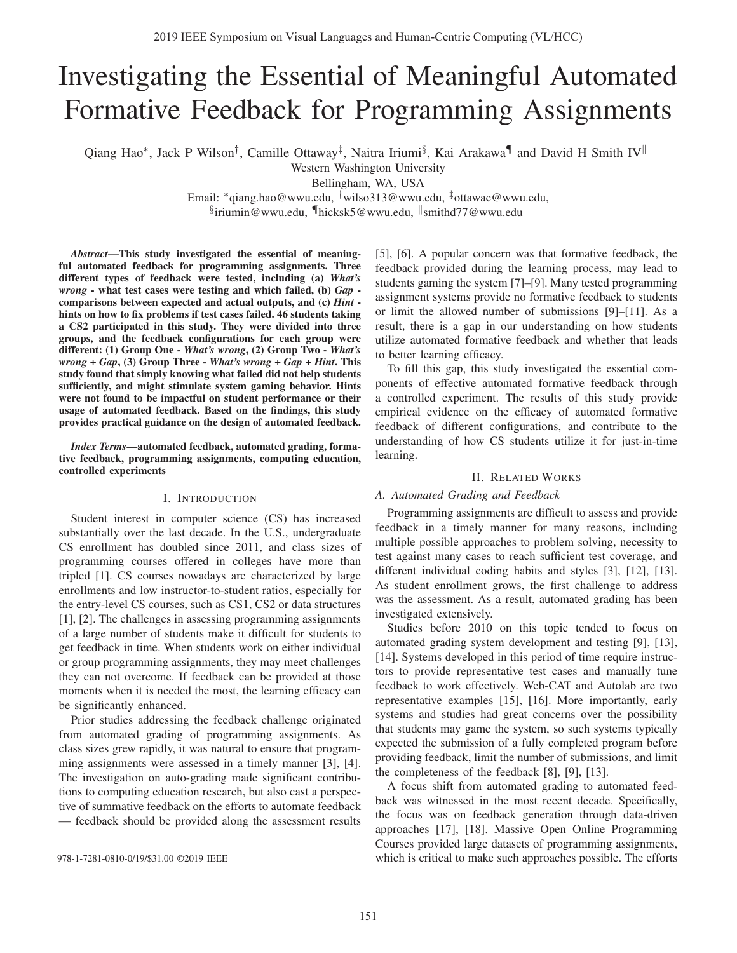# Investigating the Essential of Meaningful Automated Formative Feedback for Programming Assignments

Qiang Hao<sup>∗</sup>, Jack P Wilson<sup>†</sup>, Camille Ottaway<sup>‡</sup>, Naitra Iriumi<sup>§</sup>, Kai Arakawa¶ and David H Smith IV<sup>||</sup>

Western Washington University

Bellingham, WA, USA

Email: ∗qiang.hao@wwu.edu, †wilso313@wwu.edu, ‡ottawac@wwu.edu,  $\frac{\S$ iriumin@wwu.edu,  $\P$ hicksk5@wwu.edu,  $\parallel$ smithd77@wwu.edu

*Abstract*—This study investigated the essential of meaningful automated feedback for programming assignments. Three different types of feedback were tested, including (a) *What's wrong* - what test cases were testing and which failed, (b) *Gap* comparisons between expected and actual outputs, and (c) *Hint* hints on how to fix problems if test cases failed. 46 students taking a CS2 participated in this study. They were divided into three groups, and the feedback configurations for each group were different: (1) Group One - *What's wrong*, (2) Group Two - *What's wrong* + *Gap*, (3) Group Three - *What's wrong* + *Gap* + *Hint*. This study found that simply knowing what failed did not help students sufficiently, and might stimulate system gaming behavior. Hints were not found to be impactful on student performance or their usage of automated feedback. Based on the findings, this study provides practical guidance on the design of automated feedback.

*Index Terms*—automated feedback, automated grading, formative feedback, programming assignments, computing education, controlled experiments

#### I. INTRODUCTION

Student interest in computer science (CS) has increased substantially over the last decade. In the U.S., undergraduate CS enrollment has doubled since 2011, and class sizes of programming courses offered in colleges have more than tripled [1]. CS courses nowadays are characterized by large enrollments and low instructor-to-student ratios, especially for the entry-level CS courses, such as CS1, CS2 or data structures [1], [2]. The challenges in assessing programming assignments of a large number of students make it difficult for students to get feedback in time. When students work on either individual or group programming assignments, they may meet challenges they can not overcome. If feedback can be provided at those moments when it is needed the most, the learning efficacy can be significantly enhanced.

Prior studies addressing the feedback challenge originated from automated grading of programming assignments. As class sizes grew rapidly, it was natural to ensure that programming assignments were assessed in a timely manner [3], [4]. The investigation on auto-grading made significant contributions to computing education research, but also cast a perspective of summative feedback on the efforts to automate feedback — feedback should be provided along the assessment results

[5], [6]. A popular concern was that formative feedback, the feedback provided during the learning process, may lead to students gaming the system [7]–[9]. Many tested programming assignment systems provide no formative feedback to students or limit the allowed number of submissions [9]–[11]. As a result, there is a gap in our understanding on how students utilize automated formative feedback and whether that leads to better learning efficacy.

To fill this gap, this study investigated the essential components of effective automated formative feedback through a controlled experiment. The results of this study provide empirical evidence on the efficacy of automated formative feedback of different configurations, and contribute to the understanding of how CS students utilize it for just-in-time learning.

#### II. RELATED WORKS

# *A. Automated Grading and Feedback*

Programming assignments are difficult to assess and provide feedback in a timely manner for many reasons, including multiple possible approaches to problem solving, necessity to test against many cases to reach sufficient test coverage, and different individual coding habits and styles [3], [12], [13]. As student enrollment grows, the first challenge to address was the assessment. As a result, automated grading has been investigated extensively.

Studies before 2010 on this topic tended to focus on automated grading system development and testing [9], [13], [14]. Systems developed in this period of time require instructors to provide representative test cases and manually tune feedback to work effectively. Web-CAT and Autolab are two representative examples [15], [16]. More importantly, early systems and studies had great concerns over the possibility that students may game the system, so such systems typically expected the submission of a fully completed program before providing feedback, limit the number of submissions, and limit the completeness of the feedback [8], [9], [13].

A focus shift from automated grading to automated feedback was witnessed in the most recent decade. Specifically, the focus was on feedback generation through data-driven approaches [17], [18]. Massive Open Online Programming Courses provided large datasets of programming assignments, 978-1-7281-0810-0/19/\$31.00 ©2019 IEEE which is critical to make such approaches possible. The efforts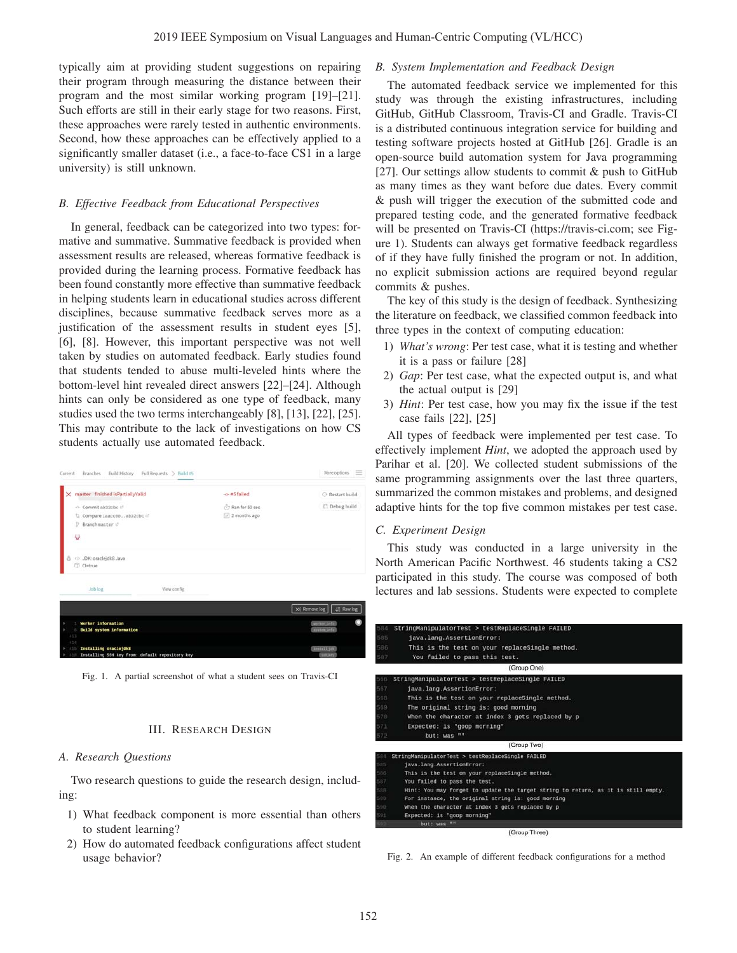typically aim at providing student suggestions on repairing their program through measuring the distance between their program and the most similar working program [19]–[21]. Such efforts are still in their early stage for two reasons. First, these approaches were rarely tested in authentic environments. Second, how these approaches can be effectively applied to a significantly smaller dataset (i.e., a face-to-face CS1 in a large university) is still unknown.

## *B. Effective Feedback from Educational Perspectives*

In general, feedback can be categorized into two types: formative and summative. Summative feedback is provided when assessment results are released, whereas formative feedback is provided during the learning process. Formative feedback has been found constantly more effective than summative feedback in helping students learn in educational studies across different disciplines, because summative feedback serves more as a justification of the assessment results in student eyes [5], [6], [8]. However, this important perspective was not well taken by studies on automated feedback. Early studies found that students tended to abuse multi-leveled hints where the bottom-level hint revealed direct answers [22]–[24]. Although hints can only be considered as one type of feedback, many studies used the two terms interchangeably [8], [13], [22], [25]. This may contribute to the lack of investigations on how CS students actually use automated feedback.

| Worker information<br><b>Build system information</b><br>453 |             |                           | worker_infin.<br>(Nystancinfa) |
|--------------------------------------------------------------|-------------|---------------------------|--------------------------------|
|                                                              |             |                           | Xi Remove log   45 Raw log     |
| Job log                                                      | View config |                           |                                |
| JDK: oraclejdk8 Java<br>Ci=true                              |             |                           |                                |
| 읖                                                            |             |                           |                                |
| P Branchmaster @                                             |             |                           |                                |
| Compare 1aacc00ab32chc c                                     |             | 2 months ago              |                                |
| ← Commit ab32cbc                                             |             | <b>C</b> : Ran for 50 sec | <b>Debug build</b>             |
| X master finished isPartiallyValid                           |             | $-6 - 45$ failed          | Restart build                  |

Fig. 1. A partial screenshot of what a student sees on Travis-CI

#### III. RESEARCH DESIGN

#### *A. Research Questions*

Two research questions to guide the research design, including:

- 1) What feedback component is more essential than others to student learning?
- 2) How do automated feedback configurations affect student usage behavior?

## *B. System Implementation and Feedback Design*

The automated feedback service we implemented for this study was through the existing infrastructures, including GitHub, GitHub Classroom, Travis-CI and Gradle. Travis-CI is a distributed continuous integration service for building and testing software projects hosted at GitHub [26]. Gradle is an open-source build automation system for Java programming [27]. Our settings allow students to commit & push to GitHub as many times as they want before due dates. Every commit & push will trigger the execution of the submitted code and prepared testing code, and the generated formative feedback will be presented on Travis-CI (https://travis-ci.com; see Figure 1). Students can always get formative feedback regardless of if they have fully finished the program or not. In addition, no explicit submission actions are required beyond regular commits & pushes.

The key of this study is the design of feedback. Synthesizing the literature on feedback, we classified common feedback into three types in the context of computing education:

- 1) *What's wrong*: Per test case, what it is testing and whether it is a pass or failure [28]
- 2) *Gap*: Per test case, what the expected output is, and what the actual output is [29]
- 3) *Hint*: Per test case, how you may fix the issue if the test case fails [22], [25]

All types of feedback were implemented per test case. To effectively implement *Hint*, we adopted the approach used by Parihar et al. [20]. We collected student submissions of the same programming assignments over the last three quarters, summarized the common mistakes and problems, and designed adaptive hints for the top five common mistakes per test case.

### *C. Experiment Design*

This study was conducted in a large university in the North American Pacific Northwest. 46 students taking a CS2 participated in this study. The course was composed of both lectures and lab sessions. Students were expected to complete



Fig. 2. An example of different feedback configurations for a method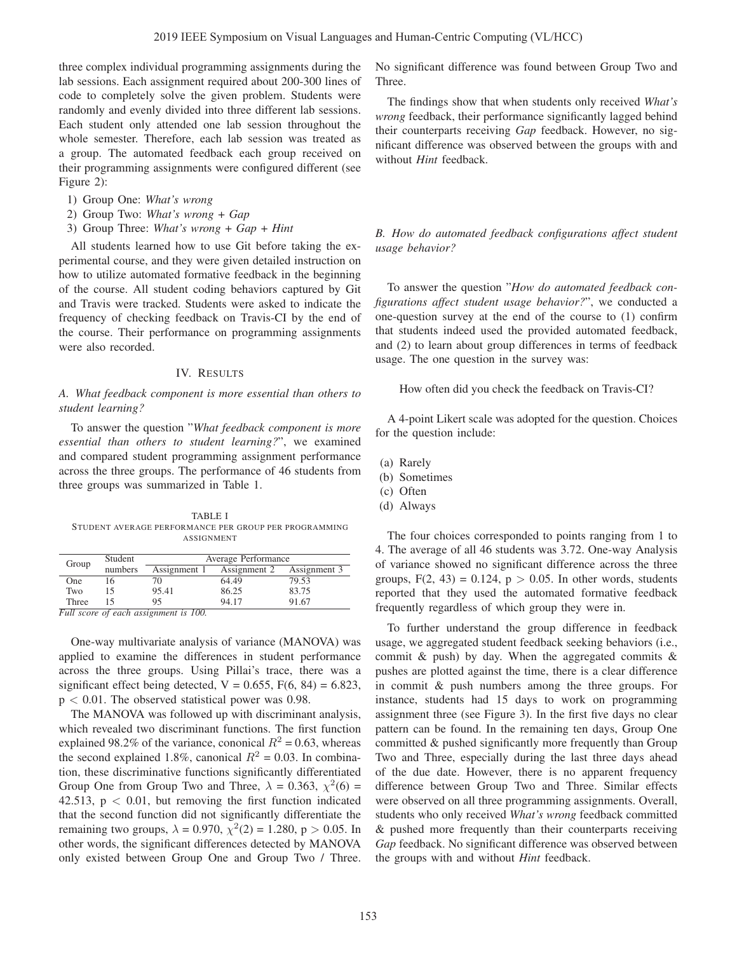three complex individual programming assignments during the lab sessions. Each assignment required about 200-300 lines of code to completely solve the given problem. Students were randomly and evenly divided into three different lab sessions. Each student only attended one lab session throughout the whole semester. Therefore, each lab session was treated as a group. The automated feedback each group received on their programming assignments were configured different (see Figure 2):

- 1) Group One: *What's wrong*
- 2) Group Two: *What's wrong* + *Gap*
- 3) Group Three: *What's wrong* + *Gap* + *Hint*

All students learned how to use Git before taking the experimental course, and they were given detailed instruction on how to utilize automated formative feedback in the beginning of the course. All student coding behaviors captured by Git and Travis were tracked. Students were asked to indicate the frequency of checking feedback on Travis-CI by the end of the course. Their performance on programming assignments were also recorded.

### IV. RESULTS

### *A. What feedback component is more essential than others to student learning?*

To answer the question "*What feedback component is more essential than others to student learning?*", we examined and compared student programming assignment performance across the three groups. The performance of 46 students from three groups was summarized in Table 1.

TABLE I STUDENT AVERAGE PERFORMANCE PER GROUP PER PROGRAMMING ASSIGNMENT

| Group | Student | Average Performance |              |              |
|-------|---------|---------------------|--------------|--------------|
|       | numbers | Assignment 1        | Assignment 2 | Assignment 3 |
| One   |         |                     | 64.49        | 79.53        |
| Two   |         | 95.41               | 86.25        | 83.75        |
| Three |         | 95                  | 94.17        | 91.67        |

*Full score of each assignment is 100.*

One-way multivariate analysis of variance (MANOVA) was applied to examine the differences in student performance across the three groups. Using Pillai's trace, there was a significant effect being detected,  $V = 0.655$ ,  $F(6, 84) = 6.823$ ,  $p < 0.01$ . The observed statistical power was 0.98.

The MANOVA was followed up with discriminant analysis, which revealed two discriminant functions. The first function explained 98.2% of the variance, cononical  $R^2 = 0.63$ , whereas the second explained 1.8%, canonical  $R^2 = 0.03$ . In combination, these discriminative functions significantly differentiated Group One from Group Two and Three,  $\lambda = 0.363$ ,  $\chi^2(6) =$ 42.513,  $p < 0.01$ , but removing the first function indicated that the second function did not significantly differentiate the remaining two groups,  $\lambda = 0.970$ ,  $\chi^2(2) = 1.280$ ,  $p > 0.05$ . In other words, the significant differences detected by MANOVA only existed between Group One and Group Two / Three.

No significant difference was found between Group Two and Three.

The findings show that when students only received *What's wrong* feedback, their performance significantly lagged behind their counterparts receiving *Gap* feedback. However, no significant difference was observed between the groups with and without *Hint* feedback.

*B. How do automated feedback configurations affect student usage behavior?*

To answer the question "*How do automated feedback configurations affect student usage behavior?*", we conducted a one-question survey at the end of the course to (1) confirm that students indeed used the provided automated feedback, and (2) to learn about group differences in terms of feedback usage. The one question in the survey was:

How often did you check the feedback on Travis-CI?

A 4-point Likert scale was adopted for the question. Choices for the question include:

- (a) Rarely
- (b) Sometimes
- (c) Often
- (d) Always

The four choices corresponded to points ranging from 1 to 4. The average of all 46 students was 3.72. One-way Analysis of variance showed no significant difference across the three groups,  $F(2, 43) = 0.124$ ,  $p > 0.05$ . In other words, students reported that they used the automated formative feedback frequently regardless of which group they were in.

To further understand the group difference in feedback usage, we aggregated student feedback seeking behaviors (i.e., commit & push) by day. When the aggregated commits & pushes are plotted against the time, there is a clear difference in commit & push numbers among the three groups. For instance, students had 15 days to work on programming assignment three (see Figure 3). In the first five days no clear pattern can be found. In the remaining ten days, Group One committed & pushed significantly more frequently than Group Two and Three, especially during the last three days ahead of the due date. However, there is no apparent frequency difference between Group Two and Three. Similar effects were observed on all three programming assignments. Overall, students who only received *What's wrong* feedback committed & pushed more frequently than their counterparts receiving *Gap* feedback. No significant difference was observed between the groups with and without *Hint* feedback.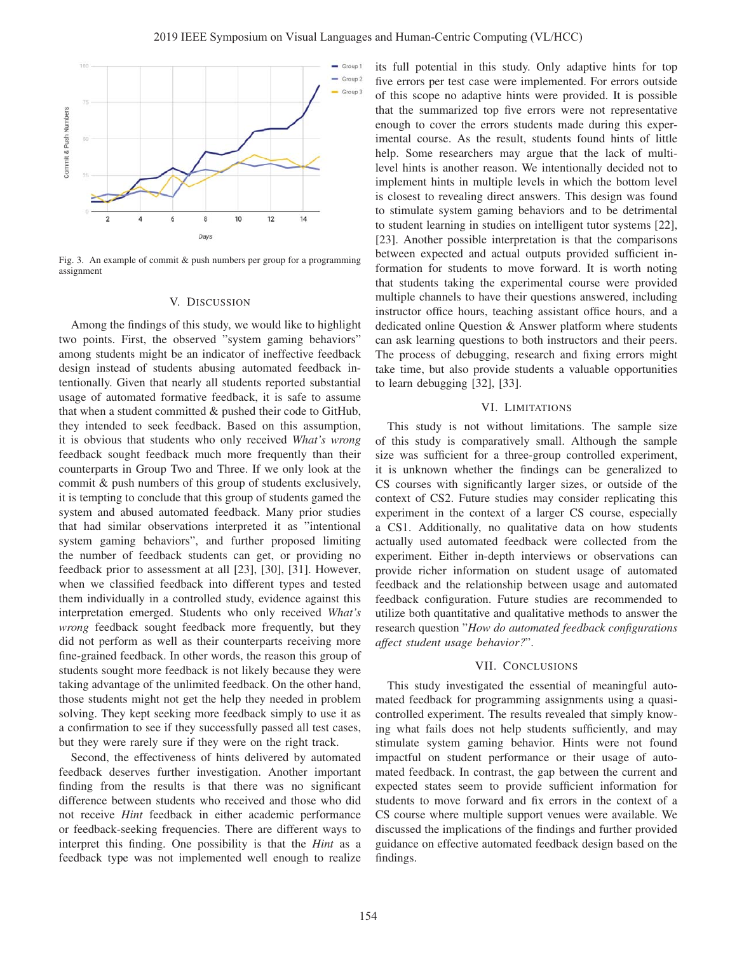

Fig. 3. An example of commit & push numbers per group for a programming assignment

# V. DISCUSSION

Among the findings of this study, we would like to highlight two points. First, the observed "system gaming behaviors" among students might be an indicator of ineffective feedback design instead of students abusing automated feedback intentionally. Given that nearly all students reported substantial usage of automated formative feedback, it is safe to assume that when a student committed & pushed their code to GitHub, they intended to seek feedback. Based on this assumption, it is obvious that students who only received *What's wrong* feedback sought feedback much more frequently than their counterparts in Group Two and Three. If we only look at the commit & push numbers of this group of students exclusively, it is tempting to conclude that this group of students gamed the system and abused automated feedback. Many prior studies that had similar observations interpreted it as "intentional system gaming behaviors", and further proposed limiting the number of feedback students can get, or providing no feedback prior to assessment at all [23], [30], [31]. However, when we classified feedback into different types and tested them individually in a controlled study, evidence against this interpretation emerged. Students who only received *What's wrong* feedback sought feedback more frequently, but they did not perform as well as their counterparts receiving more fine-grained feedback. In other words, the reason this group of students sought more feedback is not likely because they were taking advantage of the unlimited feedback. On the other hand, those students might not get the help they needed in problem solving. They kept seeking more feedback simply to use it as a confirmation to see if they successfully passed all test cases, but they were rarely sure if they were on the right track.

Second, the effectiveness of hints delivered by automated feedback deserves further investigation. Another important finding from the results is that there was no significant difference between students who received and those who did not receive *Hint* feedback in either academic performance or feedback-seeking frequencies. There are different ways to interpret this finding. One possibility is that the *Hint* as a feedback type was not implemented well enough to realize its full potential in this study. Only adaptive hints for top five errors per test case were implemented. For errors outside of this scope no adaptive hints were provided. It is possible that the summarized top five errors were not representative enough to cover the errors students made during this experimental course. As the result, students found hints of little help. Some researchers may argue that the lack of multilevel hints is another reason. We intentionally decided not to implement hints in multiple levels in which the bottom level is closest to revealing direct answers. This design was found to stimulate system gaming behaviors and to be detrimental to student learning in studies on intelligent tutor systems [22], [23]. Another possible interpretation is that the comparisons between expected and actual outputs provided sufficient information for students to move forward. It is worth noting that students taking the experimental course were provided multiple channels to have their questions answered, including instructor office hours, teaching assistant office hours, and a dedicated online Question & Answer platform where students can ask learning questions to both instructors and their peers. The process of debugging, research and fixing errors might take time, but also provide students a valuable opportunities to learn debugging [32], [33].

#### VI. LIMITATIONS

This study is not without limitations. The sample size of this study is comparatively small. Although the sample size was sufficient for a three-group controlled experiment, it is unknown whether the findings can be generalized to CS courses with significantly larger sizes, or outside of the context of CS2. Future studies may consider replicating this experiment in the context of a larger CS course, especially a CS1. Additionally, no qualitative data on how students actually used automated feedback were collected from the experiment. Either in-depth interviews or observations can provide richer information on student usage of automated feedback and the relationship between usage and automated feedback configuration. Future studies are recommended to utilize both quantitative and qualitative methods to answer the research question "*How do automated feedback configurations affect student usage behavior?*".

## VII. CONCLUSIONS

This study investigated the essential of meaningful automated feedback for programming assignments using a quasicontrolled experiment. The results revealed that simply knowing what fails does not help students sufficiently, and may stimulate system gaming behavior. Hints were not found impactful on student performance or their usage of automated feedback. In contrast, the gap between the current and expected states seem to provide sufficient information for students to move forward and fix errors in the context of a CS course where multiple support venues were available. We discussed the implications of the findings and further provided guidance on effective automated feedback design based on the findings.